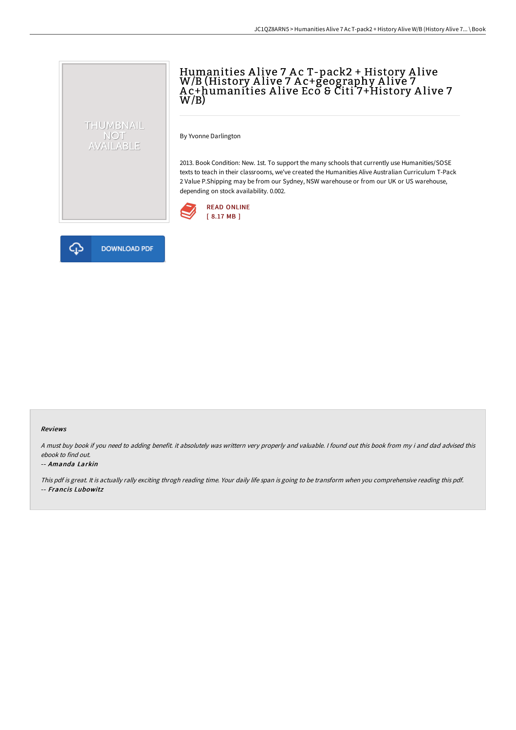# Humanities A live 7 A c T-pack2 + History A live W/B (History A live 7 A c+geography A live 7 A c+humanities A live Eco & Citi 7+History A live 7  $W/B$ )

By Yvonne Darlington

2013. Book Condition: New. 1st. To support the many schools that currently use Humanities/SOSE texts to teach in their classrooms, we've created the Humanities Alive Australian Curriculum T-Pack 2 Value P.Shipping may be from our Sydney, NSW warehouse or from our UK or US warehouse, depending on stock availability. 0.002.





THUMBNAIL NOT<br>AVAILABLE

#### Reviews

<sup>A</sup> must buy book if you need to adding benefit. it absolutely was writtern very properly and valuable. <sup>I</sup> found out this book from my i and dad advised this ebook to find out.

#### -- Amanda Larkin

This pdf is great. It is actually rally exciting throgh reading time. Your daily life span is going to be transform when you comprehensive reading this pdf. -- Francis Lubowitz